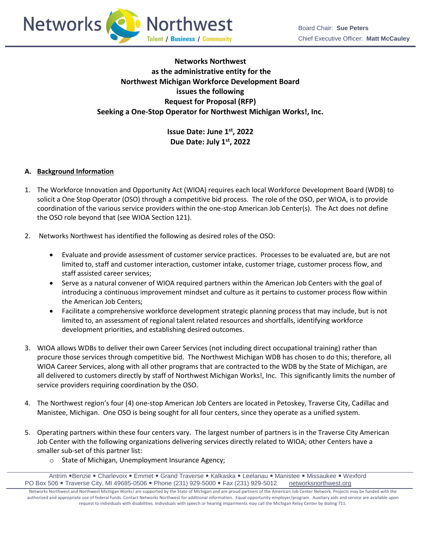



# **Networks Northwest as the administrative entity for the Northwest Michigan Workforce Development Board issues the following Request for Proposal (RFP) Seeking a One-Stop Operator for Northwest Michigan Works!, Inc.**

**Issue Date: June 1st, 2022 Due Date: July 1st, 2022** 

## **A. Background Information**

- 1. The Workforce Innovation and Opportunity Act (WIOA) requires each local Workforce Development Board (WDB) to solicit a One Stop Operator (OSO) through a competitive bid process. The role of the OSO, per WIOA, is to provide coordination of the various service providers within the one-stop American Job Center(s). The Act does not define the OSO role beyond that (see WIOA Section 121).
- 2. Networks Northwest has identified the following as desired roles of the OSO:
	- Evaluate and provide assessment of customer service practices. Processes to be evaluated are, but are not limited to, staff and customer interaction, customer intake, customer triage, customer process flow, and staff assisted career services;
	- Serve as a natural convener of WIOA required partners within the American Job Centers with the goal of introducing a continuous improvement mindset and culture as it pertains to customer process flow within the American Job Centers;
	- Facilitate a comprehensive workforce development strategic planning process that may include, but is not limited to, an assessment of regional talent related resources and shortfalls, identifying workforce development priorities, and establishing desired outcomes.
- 3. WIOA allows WDBs to deliver their own Career Services (not including direct occupational training) rather than procure those services through competitive bid. The Northwest Michigan WDB has chosen to do this; therefore, all WIOA Career Services, along with all other programs that are contracted to the WDB by the State of Michigan, are all delivered to customers directly by staff of Northwest Michigan Works!, Inc. This significantly limits the number of service providers requiring coordination by the OSO.
- 4. The Northwest region's four (4) one-stop American Job Centers are located in Petoskey, Traverse City, Cadillac and Manistee, Michigan. One OSO is being sought for all four centers, since they operate as a unified system.
- 5. Operating partners within these four centers vary. The largest number of partners is in the Traverse City American Job Center with the following organizations delivering services directly related to WIOA; other Centers have a smaller sub-set of this partner list:
	- o State of Michigan, Unemployment Insurance Agency;

Antrim • Benzie • Charlevoix • Emmet • Grand Traverse • Kalkaska • Leelanau • Manistee • Missaukee • Wexford PO Box 506 . Traverse City, MI 49685-0506 . Phone (231) 929-5000 . Fax (231) 929-5012 [networksnorthwest.org](http://www.nwm.org/)

Networks Northwest and Northwest Michigan Works! are supported by the State of Michigan and are proud partners of the American Job Center Network. Projects may be funded with the authorized and appropriate use of federal funds. Contact Networks Northwest for additional information. Equal opportunity employer/program. Auxiliary aids and service are available upon request to individuals with disabilities. Individuals with speech or hearing impairments may call the Michigan Relay Center by dialing 711.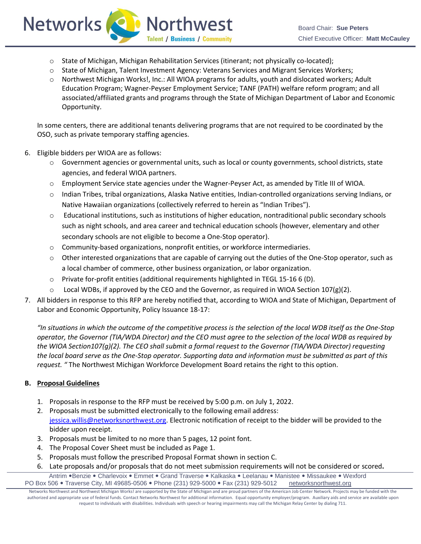

 $\circ$  State of Michigan, Michigan Rehabilitation Services (itinerant; not physically co-located);

**Talent / Business / Community** 

**O** Northwest

- o State of Michigan, Talent Investment Agency: Veterans Services and Migrant Services Workers;
- o Northwest Michigan Works!, Inc.: All WIOA programs for adults, youth and dislocated workers; Adult Education Program; Wagner-Peyser Employment Service; TANF (PATH) welfare reform program; and all associated/affiliated grants and programs through the State of Michigan Department of Labor and Economic Opportunity.

In some centers, there are additional tenants delivering programs that are not required to be coordinated by the OSO, such as private temporary staffing agencies.

6. Eligible bidders per WIOA are as follows:

**Networks** 

- o Government agencies or governmental units, such as local or county governments, school districts, state agencies, and federal WIOA partners.
- o Employment Service state agencies under the Wagner-Peyser Act, as amended by Title III of WIOA.
- o Indian Tribes, tribal organizations, Alaska Native entities, Indian-controlled organizations serving Indians, or Native Hawaiian organizations (collectively referred to herein as "Indian Tribes").
- o Educational institutions, such as institutions of higher education, nontraditional public secondary schools such as night schools, and area career and technical education schools (however, elementary and other secondary schools are not eligible to become a One-Stop operator).
- $\circ$  Community-based organizations, nonprofit entities, or workforce intermediaries.
- o Other interested organizations that are capable of carrying out the duties of the One-Stop operator, such as a local chamber of commerce, other business organization, or labor organization.
- $\circ$  Private for-profit entities (additional requirements highlighted in TEGL 15-16 6 (D).
- Local WDBs, if approved by the CEO and the Governor, as required in WIOA Section  $107(g)(2)$ .
- 7. All bidders in response to this RFP are hereby notified that, according to WIOA and State of Michigan, Department of Labor and Economic Opportunity, Policy Issuance 18-17:

*"In situations in which the outcome of the competitive process is the selection of the local WDB itself as the One-Stop operator, the Governor (TIA/WDA Director) and the CEO must agree to the selection of the local WDB as required by the WIOA Section107(g)(2). The CEO shall submit a formal request to the Governor (TIA/WDA Director) requesting the local board serve as the One-Stop operator. Supporting data and information must be submitted as part of this request. "* The Northwest Michigan Workforce Development Board retains the right to this option.

## **B. Proposal Guidelines**

- 1. Proposals in response to the RFP must be received by 5:00 p.m. on July 1, 2022.
- 2. Proposals must be submitted electronically to the following email address: [jessica.willis@networksnorthwest.org.](mailto:jessica.willis@networksnorthwest.org) Electronic notification of receipt to the bidder will be provided to the bidder upon receipt.
- 3. Proposals must be limited to no more than 5 pages, 12 point font.
- 4. The Proposal Cover Sheet must be included as Page 1.
- 5. Proposals must follow the prescribed Proposal Format shown in section C.
- 6. Late proposals and/or proposals that do not meet submission requirements will not be considered or scored**.**

Antrim . Benzie . Charlevoix . Emmet . Grand Traverse . Kalkaska . Leelanau . Manistee . Missaukee . Wexford PO Box 506 . Traverse City, MI 49685-0506 . Phone (231) 929-5000 . Fax (231) 929-5012 [networksnorthwest.org](http://www.nwm.org/)

Networks Northwest and Northwest Michigan Works! are supported by the State of Michigan and are proud partners of the American Job Center Network. Projects may be funded with the authorized and appropriate use of federal funds. Contact Networks Northwest for additional information. Equal opportunity employer/program. Auxiliary aids and service are available upon request to individuals with disabilities. Individuals with speech or hearing impairments may call the Michigan Relay Center by dialing 711.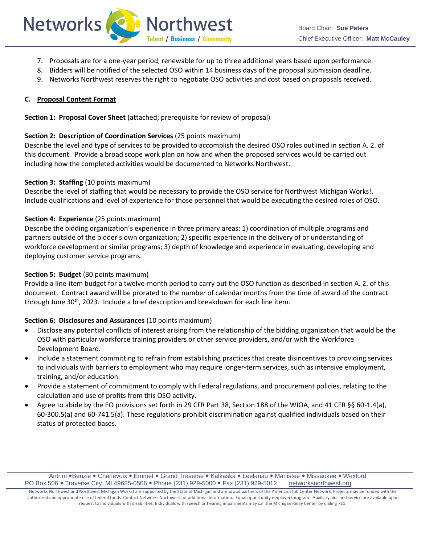

- 7. Proposals are for a one-year period, renewable for up to three additional years based upon performance.
- 8. Bidders will be notified of the selected OSO within 14 business days of the proposal submission deadline.
- 9. Networks Northwest reserves the right to negotiate OSO activities and cost based on proposals received.

#### **C. Proposal Content Format**

**Section 1: Proposal Cover Sheet** (attached; prerequisite for review of proposal)

#### **Section 2: Description of Coordination Services** (25 points maximum)

Describe the level and type of services to be provided to accomplish the desired OSO roles outlined in section A. 2. of this document. Provide a broad scope work plan on how and when the proposed services would be carried out including how the completed activities would be documented to Networks Northwest.

#### **Section 3: Staffing (10 points maximum)**

Describe the level of staffing that would be necessary to provide the OSO service for Northwest Michigan Works!. Include qualifications and level of experience for those personnel that would be executing the desired roles of OSO.

#### **Section 4: Experience** (25 points maximum)

Describe the bidding organization's experience in three primary areas: 1) coordination of multiple programs and partners outside of the bidder's own organization; 2) specific experience in the delivery of or understanding of workforce development or similar programs; 3) depth of knowledge and experience in evaluating, developing and deploying customer service programs.

## **Section 5: Budget** (30 points maximum)

Provide a line-item budget for a twelve-month period to carry out the OSO function as described in section A. 2. of this document. Contract award will be prorated to the number of calendar months from the time of award of the contract through June 30<sup>th</sup>, 2023. Include a brief description and breakdown for each line item.

## **Section 6: Disclosures and Assurances** (10 points maximum)

- Disclose any potential conflicts of interest arising from the relationship of the bidding organization that would be the OSO with particular workforce training providers or other service providers, and/or with the Workforce Development Board.
- Include a statement committing to refrain from establishing practices that create disincentives to providing services to individuals with barriers to employment who may require longer-term services, such as intensive employment, training, and/or education.
- Provide a statement of commitment to comply with Federal regulations, and procurement policies, relating to the calculation and use of profits from this OSO activity.
- Agree to abide by the EO provisions set forth in 29 CFR Part 38, Section 188 of the WIOA, and 41 CFR §§ 60-1.4(a), 60-300.5(a) and 60-741.5(a). These regulations prohibit discrimination against qualified individuals based on their status of protected bases.